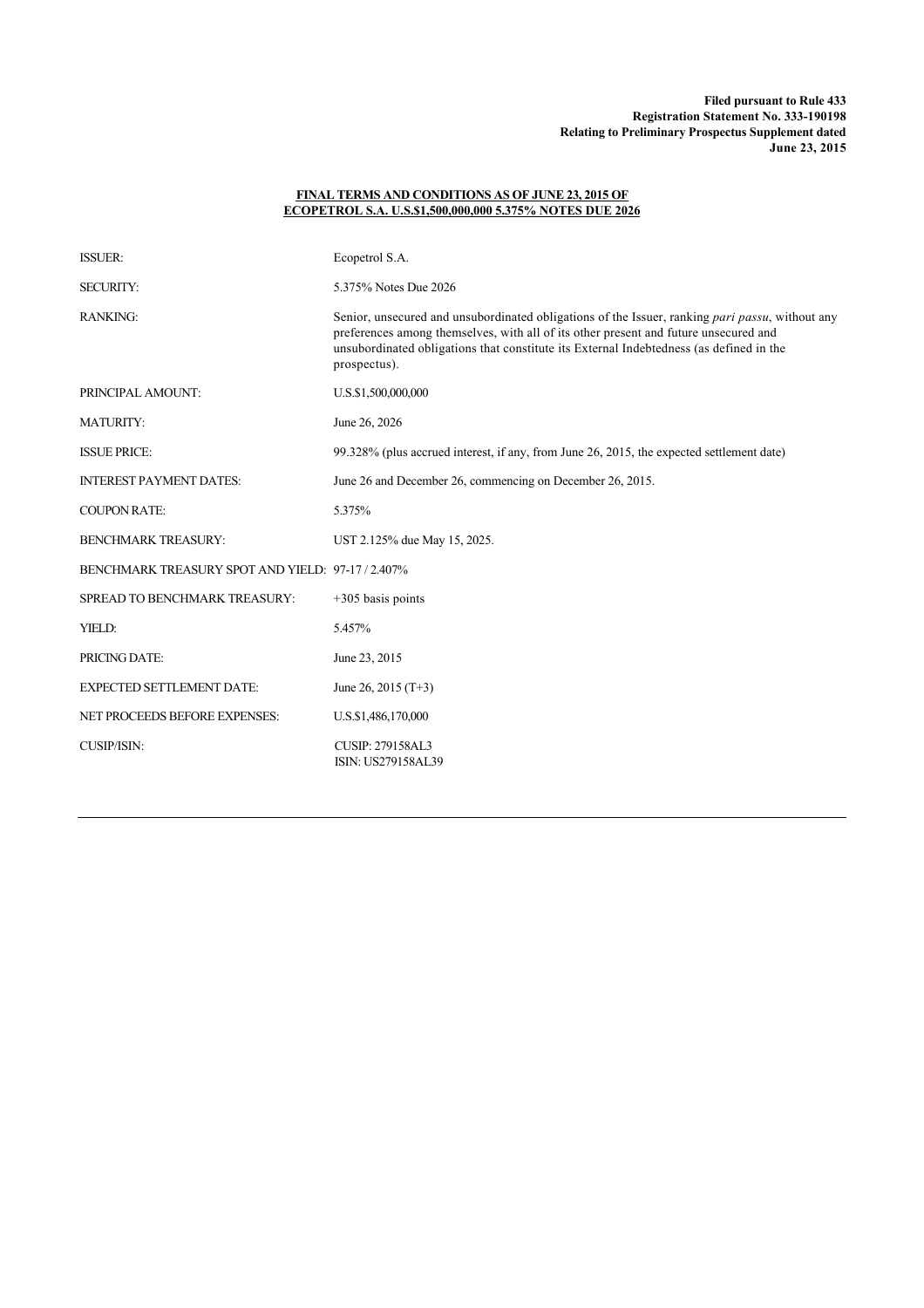## **FINAL TERMS AND CONDITIONS AS OF JUNE 23, 2015 OF ECOPETROL S.A. U.S.\$1,500,000,000 5.375% NOTES DUE 2026**

| <b>ISSUER:</b>                                  | Ecopetrol S.A.                                                                                                                                                                                                                                                                                     |
|-------------------------------------------------|----------------------------------------------------------------------------------------------------------------------------------------------------------------------------------------------------------------------------------------------------------------------------------------------------|
| <b>SECURITY:</b>                                | 5.375% Notes Due 2026                                                                                                                                                                                                                                                                              |
| <b>RANKING:</b>                                 | Senior, unsecured and unsubordinated obligations of the Issuer, ranking pari passu, without any<br>preferences among themselves, with all of its other present and future unsecured and<br>unsubordinated obligations that constitute its External Indebtedness (as defined in the<br>prospectus). |
| PRINCIPAL AMOUNT:                               | U.S.\$1,500,000,000                                                                                                                                                                                                                                                                                |
| <b>MATURITY:</b>                                | June 26, 2026                                                                                                                                                                                                                                                                                      |
| <b>ISSUE PRICE:</b>                             | 99.328% (plus accrued interest, if any, from June 26, 2015, the expected settlement date)                                                                                                                                                                                                          |
| <b>INTEREST PAYMENT DATES:</b>                  | June 26 and December 26, commencing on December 26, 2015.                                                                                                                                                                                                                                          |
| <b>COUPON RATE:</b>                             | 5.375%                                                                                                                                                                                                                                                                                             |
| <b>BENCHMARK TREASURY:</b>                      | UST 2.125% due May 15, 2025.                                                                                                                                                                                                                                                                       |
| BENCHMARK TREASURY SPOT AND YIELD: 97-17/2.407% |                                                                                                                                                                                                                                                                                                    |
| SPREAD TO BENCHMARK TREASURY:                   | $+305$ basis points                                                                                                                                                                                                                                                                                |
| YIELD:                                          | 5.457%                                                                                                                                                                                                                                                                                             |
| PRICING DATE:                                   | June 23, 2015                                                                                                                                                                                                                                                                                      |
| <b>EXPECTED SETTLEMENT DATE:</b>                | June 26, 2015 $(T+3)$                                                                                                                                                                                                                                                                              |
| <b>NET PROCEEDS BEFORE EXPENSES:</b>            | U.S.\$1,486,170,000                                                                                                                                                                                                                                                                                |
| <b>CUSIP/ISIN:</b>                              | <b>CUSIP: 279158AL3</b><br>ISIN: US279158AL39                                                                                                                                                                                                                                                      |